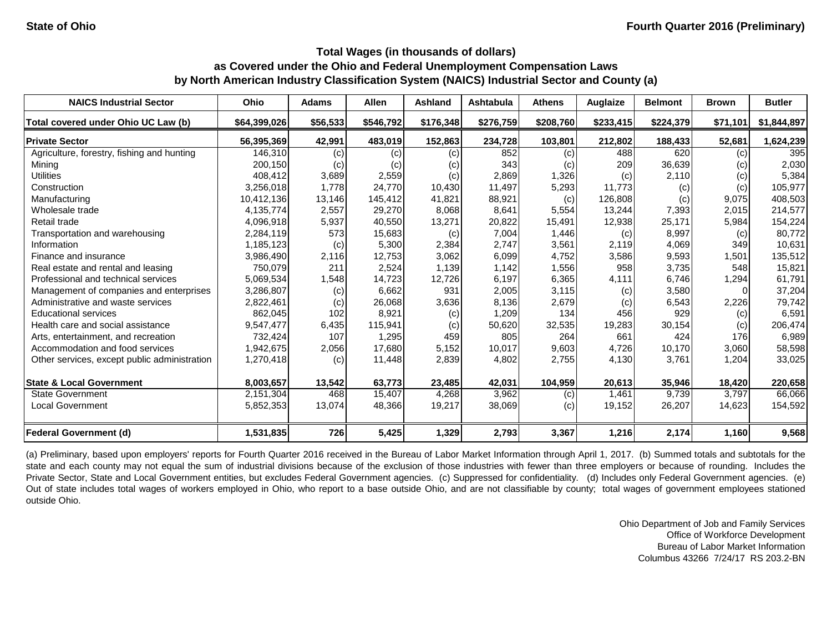# **by North American Industry Classification System (NAICS) Industrial Sector and County (a) as Covered under the Ohio and Federal Unemployment Compensation Laws Total Wages (in thousands of dollars)**

| <b>NAICS Industrial Sector</b>               | Ohio         | <b>Adams</b> | <b>Allen</b> | <b>Ashland</b> | <b>Ashtabula</b> | <b>Athens</b> | Auglaize  | <b>Belmont</b> | <b>Brown</b> | <b>Butler</b> |
|----------------------------------------------|--------------|--------------|--------------|----------------|------------------|---------------|-----------|----------------|--------------|---------------|
| Total covered under Ohio UC Law (b)          | \$64,399,026 | \$56,533     | \$546,792    | \$176,348      | \$276,759        | \$208,760     | \$233,415 | \$224,379      | \$71,101     | \$1,844,897   |
| <b>Private Sector</b>                        | 56,395,369   | 42,991       | 483,019      | 152,863        | 234,728          | 103,801       | 212,802   | 188,433        | 52,681       | 1,624,239     |
| Agriculture, forestry, fishing and hunting   | 146,310      | (c)          | (c)          | (c)            | 852              | (c)           | 488       | 620            | (c)          | 395           |
| Mining                                       | 200,150      | (c)          | (c)          | (c)            | 343              | (c)           | 209       | 36,639         | (c)          | 2,030         |
| <b>Utilities</b>                             | 408,412      | 3,689        | 2,559        | (c)            | 2,869            | 1,326         | (c)       | 2,110          | (c)          | 5,384         |
| Construction                                 | 3,256,018    | 1,778        | 24,770       | 10,430         | 11,497           | 5,293         | 11,773    | (c)            | (c)          | 105,977       |
| Manufacturing                                | 10,412,136   | 13,146       | 145,412      | 41,821         | 88,921           | (c)           | 126,808   | (c)            | 9,075        | 408,503       |
| Wholesale trade                              | 4,135,774    | 2,557        | 29,270       | 8,068          | 8,641            | 5,554         | 13,244    | 7,393          | 2,015        | 214,577       |
| Retail trade                                 | 4,096,918    | 5,937        | 40,550       | 13,271         | 20,822           | 15,491        | 12,938    | 25,171         | 5,984        | 154,224       |
| Transportation and warehousing               | 2,284,119    | 573          | 15,683       | (c)            | 7,004            | 1,446         | (c)       | 8,997          | (c)          | 80,772        |
| Information                                  | 1,185,123    | (c)          | 5,300        | 2,384          | 2,747            | 3,561         | 2,119     | 4,069          | 349          | 10,631        |
| Finance and insurance                        | 3,986,490    | 2,116        | 12,753       | 3,062          | 6,099            | 4,752         | 3,586     | 9,593          | 1,501        | 135,512       |
| Real estate and rental and leasing           | 750,079      | 211          | 2,524        | 1,139          | 1,142            | 1,556         | 958       | 3,735          | 548          | 15,821        |
| Professional and technical services          | 5,069,534    | 1,548        | 14,723       | 12,726         | 6,197            | 6,365         | 4,111     | 6,746          | 1,294        | 61,791        |
| Management of companies and enterprises      | 3,286,807    | (c)          | 6,662        | 931            | 2,005            | 3,115         | (c)       | 3,580          |              | 37,204        |
| Administrative and waste services            | 2,822,461    | (c)          | 26,068       | 3,636          | 8,136            | 2,679         | (c)       | 6,543          | 2,226        | 79,742        |
| <b>Educational services</b>                  | 862,045      | 102          | 8,921        | (c)            | 1,209            | 134           | 456       | 929            | (c)          | 6,591         |
| Health care and social assistance            | 9,547,477    | 6,435        | 115,941      | (c)            | 50,620           | 32,535        | 19,283    | 30,154         | (c)          | 206,474       |
| Arts, entertainment, and recreation          | 732,424      | 107          | 1,295        | 459            | 805              | 264           | 661       | 424            | 176          | 6,989         |
| Accommodation and food services              | 1,942,675    | 2,056        | 17,680       | 5,152          | 10,017           | 9,603         | 4,726     | 10,170         | 3,060        | 58,598        |
| Other services, except public administration | 1,270,418    | (c)          | 11,448       | 2,839          | 4,802            | 2,755         | 4,130     | 3,761          | 1,204        | 33,025        |
| <b>State &amp; Local Government</b>          | 8,003,657    | 13,542       | 63,773       | 23,485         | 42,031           | 104,959       | 20,613    | 35,946         | 18,420       | 220,658       |
| <b>State Government</b>                      | 2,151,304    | 468          | 15,407       | 4,268          | 3,962            | (c)           | 1,461     | 9,739          | 3,797        | 66,066        |
| <b>Local Government</b>                      | 5,852,353    | 13,074       | 48,366       | 19,217         | 38,069           | (c)           | 19,152    | 26,207         | 14,623       | 154,592       |
| <b>Federal Government (d)</b>                | 1,531,835    | 726          | 5,425        | 1,329          | 2,793            | 3,367         | 1,216     | 2,174          | 1,160        | 9,568         |

(a) Preliminary, based upon employers' reports for Fourth Quarter 2016 received in the Bureau of Labor Market Information through April 1, 2017. (b) Summed totals and subtotals for the state and each county may not equal the sum of industrial divisions because of the exclusion of those industries with fewer than three employers or because of rounding. Includes the Private Sector, State and Local Government entities, but excludes Federal Government agencies. (c) Suppressed for confidentiality. (d) Includes only Federal Government agencies. (e) Out of state includes total wages of workers employed in Ohio, who report to a base outside Ohio, and are not classifiable by county; total wages of government employees stationed outside Ohio.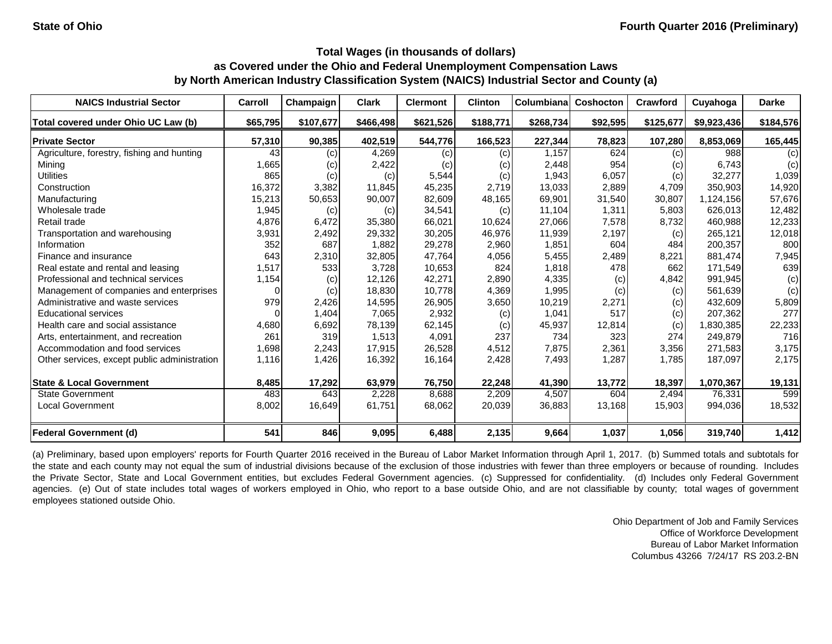| <b>NAICS Industrial Sector</b>               | Carroll  | Champaign | <b>Clark</b> | <b>Clermont</b> | <b>Clinton</b> | Columbiana | <b>Coshocton</b> | Crawford  | Cuyahoga    | <b>Darke</b> |
|----------------------------------------------|----------|-----------|--------------|-----------------|----------------|------------|------------------|-----------|-------------|--------------|
| Total covered under Ohio UC Law (b)          | \$65,795 | \$107,677 | \$466,498    | \$621,526       | \$188,771      | \$268,734  | \$92,595         | \$125,677 | \$9,923,436 | \$184,576    |
| <b>Private Sector</b>                        | 57,310   | 90,385    | 402,519      | 544,776         | 166,523        | 227,344    | 78,823           | 107,280   | 8,853,069   | 165,445      |
| Agriculture, forestry, fishing and hunting   | 43       | (c)       | 4,269        | (c)             | (c)            | 1,157      | 624              | (c)       | 988         | (c)          |
| Mining                                       | 1,665    | (c)       | 2,422        | (c)             | (c)            | 2,448      | 954              | (c)       | 6,743       | (c)          |
| <b>Utilities</b>                             | 865      | (c)       | (c)          | 5,544           | (c)            | 1,943      | 6,057            | (c)       | 32,277      | 1,039        |
| Construction                                 | 16,372   | 3,382     | 11,845       | 45,235          | 2,719          | 13,033     | 2,889            | 4,709     | 350,903     | 14,920       |
| Manufacturing                                | 15,213   | 50,653    | 90,007       | 82,609          | 48,165         | 69,901     | 31,540           | 30,807    | 1,124,156   | 57,676       |
| Wholesale trade                              | 1,945    | (c)       | (c)          | 34,541          | (c)            | 11,104     | 1,311            | 5,803     | 626,013     | 12,482       |
| Retail trade                                 | 4,876    | 6,472     | 35,380       | 66,021          | 10,624         | 27,066     | 7,578            | 8,732     | 460,988     | 12,233       |
| Transportation and warehousing               | 3,931    | 2,492     | 29,332       | 30,205          | 46,976         | 11,939     | 2,197            | (c)       | 265,121     | 12,018       |
| Information                                  | 352      | 687       | 1,882        | 29,278          | 2,960          | 1,851      | 604              | 484       | 200,357     | 800          |
| Finance and insurance                        | 643      | 2,310     | 32,805       | 47,764          | 4,056          | 5,455      | 2,489            | 8,221     | 881,474     | 7,945        |
| Real estate and rental and leasing           | 1,517    | 533       | 3,728        | 10,653          | 824            | 1,818      | 478              | 662       | 171,549     | 639          |
| Professional and technical services          | 1,154    | (c)       | 12,126       | 42,271          | 2,890          | 4,335      | (c)              | 4,842     | 991,945     | (c)          |
| Management of companies and enterprises      | 0        | (c)       | 18,830       | 10,778          | 4,369          | 1,995      | (c)              | (c)       | 561,639     | (c)          |
| Administrative and waste services            | 979      | 2,426     | 14,595       | 26,905          | 3,650          | 10,219     | 2,271            | (c)       | 432,609     | 5,809        |
| <b>Educational services</b>                  |          | 1,404     | 7,065        | 2,932           | (c)            | 1,041      | 517              | (c)       | 207,362     | 277          |
| Health care and social assistance            | 4,680    | 6,692     | 78,139       | 62,145          | (c)            | 45,937     | 12,814           | (c)       | 1,830,385   | 22,233       |
| Arts, entertainment, and recreation          | 261      | 319       | 1,513        | 4,091           | 237            | 734        | 323              | 274       | 249,879     | 716          |
| Accommodation and food services              | 1,698    | 2,243     | 17,915       | 26,528          | 4,512          | 7,875      | 2,361            | 3,356     | 271,583     | 3,175        |
| Other services, except public administration | 1,116    | 1,426     | 16,392       | 16,164          | 2,428          | 7,493      | 1,287            | 1,785     | 187,097     | 2,175        |
| <b>State &amp; Local Government</b>          | 8,485    | 17,292    | 63,979       | 76,750          | 22,248         | 41,390     | 13,772           | 18,397    | 1,070,367   | 19,131       |
| <b>State Government</b>                      | 483      | 643       | 2,228        | 8,688           | 2,209          | 4,507      | 604              | 2,494     | 76,331      | 599          |
| Local Government                             | 8,002    | 16,649    | 61,751       | 68,062          | 20,039         | 36,883     | 13,168           | 15,903    | 994,036     | 18,532       |
| <b>Federal Government (d)</b>                | 541      | 846       | 9,095        | 6,488           | 2,135          | 9,664      | 1,037            | 1,056     | 319,740     | 1,412        |

(a) Preliminary, based upon employers' reports for Fourth Quarter 2016 received in the Bureau of Labor Market Information through April 1, 2017. (b) Summed totals and subtotals for the state and each county may not equal the sum of industrial divisions because of the exclusion of those industries with fewer than three employers or because of rounding. Includes the Private Sector, State and Local Government entities, but excludes Federal Government agencies. (c) Suppressed for confidentiality. (d) Includes only Federal Government agencies. (e) Out of state includes total wages of workers employed in Ohio, who report to a base outside Ohio, and are not classifiable by county; total wages of government employees stationed outside Ohio.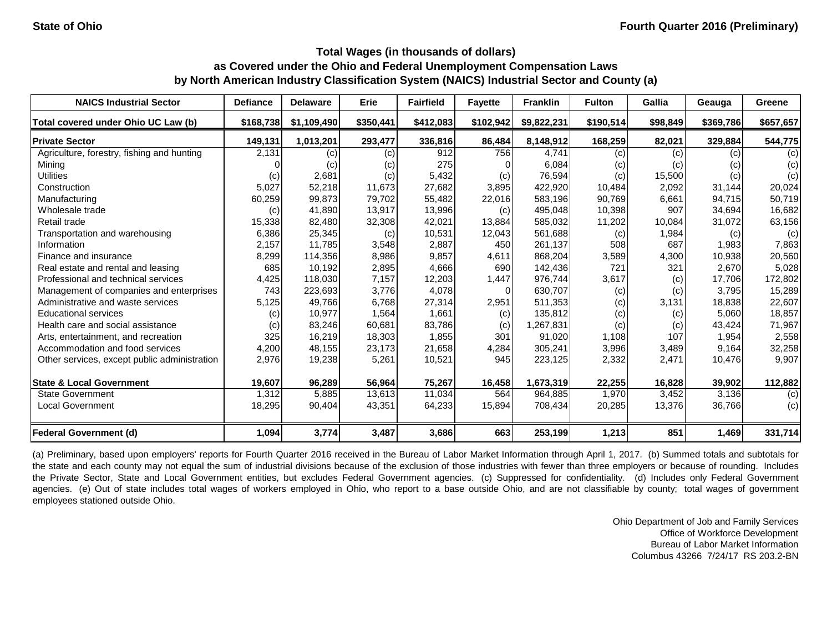| <b>NAICS Industrial Sector</b>               | <b>Defiance</b> | <b>Delaware</b> | Erie      | <b>Fairfield</b> | <b>Fayette</b> | <b>Franklin</b> | <b>Fulton</b> | Gallia   | Geauga    | Greene    |
|----------------------------------------------|-----------------|-----------------|-----------|------------------|----------------|-----------------|---------------|----------|-----------|-----------|
| Total covered under Ohio UC Law (b)          | \$168,738       | \$1,109,490     | \$350,441 | \$412,083        | \$102,942      | \$9,822,231     | \$190,514     | \$98,849 | \$369,786 | \$657,657 |
| <b>Private Sector</b>                        | 149,131         | 1,013,201       | 293,477   | 336,816          | 86,484         | 8,148,912       | 168,259       | 82,021   | 329,884   | 544,775   |
| Agriculture, forestry, fishing and hunting   | 2,131           | (c)             | (c)       | 912              | 756            | 4,741           | (c)           | (c)      | (c)       | (c)       |
| Mining                                       |                 | (c)             | (c)       | 275              |                | 6,084           | (c)           | (c)      | (c)       | (c)       |
| <b>Utilities</b>                             | (c)             | 2,681           | (c)       | 5,432            | (c)            | 76,594          | (c)           | 15,500   | (c)       | (c)       |
| Construction                                 | 5,027           | 52,218          | 11,673    | 27,682           | 3,895          | 422,920         | 10,484        | 2,092    | 31,144    | 20,024    |
| Manufacturing                                | 60,259          | 99,873          | 79,702    | 55,482           | 22,016         | 583,196         | 90,769        | 6,661    | 94,715    | 50,719    |
| Wholesale trade                              | (c)             | 41,890          | 13,917    | 13,996           | (c)            | 495,048         | 10,398        | 907      | 34,694    | 16,682    |
| Retail trade                                 | 15,338          | 82,480          | 32,308    | 42,021           | 13,884         | 585,032         | 11,202        | 10,084   | 31,072    | 63,156    |
| Transportation and warehousing               | 6,386           | 25,345          | (c)       | 10,531           | 12,043         | 561,688         | (c)           | 1,984    | (c)       | (c)       |
| Information                                  | 2,157           | 11,785          | 3,548     | 2,887            | 450            | 261,137         | 508           | 687      | 1,983     | 7,863     |
| Finance and insurance                        | 8,299           | 114,356         | 8,986     | 9,857            | 4,611          | 868,204         | 3,589         | 4,300    | 10,938    | 20,560    |
| Real estate and rental and leasing           | 685             | 10,192          | 2,895     | 4,666            | 690            | 142,436         | 721           | 321      | 2,670     | 5,028     |
| Professional and technical services          | 4,425           | 118,030         | 7,157     | 12,203           | 1,447          | 976,744         | 3,617         | (c)      | 17,706    | 172,802   |
| Management of companies and enterprises      | 743             | 223,693         | 3,776     | 4,078            | $\Omega$       | 630,707         | (c)           | (c)      | 3,795     | 15,289    |
| Administrative and waste services            | 5,125           | 49,766          | 6,768     | 27,314           | 2,951          | 511,353         | (c)           | 3,131    | 18,838    | 22,607    |
| <b>Educational services</b>                  | (c)             | 10,977          | 1,564     | 1,661            | (c)            | 135,812         | (c)           | (c)      | 5,060     | 18,857    |
| Health care and social assistance            | (c)             | 83,246          | 60,681    | 83,786           | (c)            | 1,267,831       | (c)           | (c)      | 43,424    | 71,967    |
| Arts, entertainment, and recreation          | 325             | 16,219          | 18,303    | 1,855            | 301            | 91,020          | 1,108         | 107      | 1,954     | 2,558     |
| Accommodation and food services              | 4,200           | 48,155          | 23,173    | 21,658           | 4,284          | 305,241         | 3,996         | 3,489    | 9,164     | 32,258    |
| Other services, except public administration | 2,976           | 19,238          | 5,261     | 10,521           | 945            | 223,125         | 2,332         | 2,471    | 10,476    | 9,907     |
| <b>State &amp; Local Government</b>          | 19,607          | 96,289          | 56,964    | 75,267           | 16,458         | 1,673,319       | 22,255        | 16,828   | 39,902    | 112,882   |
| <b>State Government</b>                      | 1,312           | 5,885           | 13,613    | 11,034           | 564            | 964,885         | 1,970         | 3,452    | 3,136     | (c)       |
| <b>Local Government</b>                      | 18,295          | 90,404          | 43,351    | 64,233           | 15,894         | 708,434         | 20,285        | 13,376   | 36,766    | (c)       |
| <b>Federal Government (d)</b>                | 1,094           | 3,774           | 3,487     | 3,686            | 663            | 253,199         | 1,213         | 851      | 1,469     | 331,714   |

(a) Preliminary, based upon employers' reports for Fourth Quarter 2016 received in the Bureau of Labor Market Information through April 1, 2017. (b) Summed totals and subtotals for the state and each county may not equal the sum of industrial divisions because of the exclusion of those industries with fewer than three employers or because of rounding. Includes the Private Sector, State and Local Government entities, but excludes Federal Government agencies. (c) Suppressed for confidentiality. (d) Includes only Federal Government agencies. (e) Out of state includes total wages of workers employed in Ohio, who report to a base outside Ohio, and are not classifiable by county; total wages of government employees stationed outside Ohio.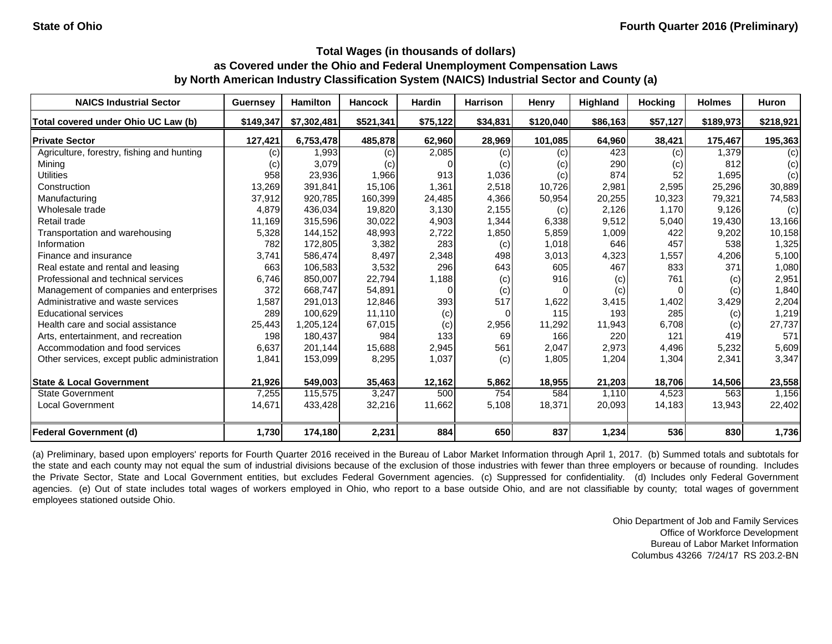| <b>NAICS Industrial Sector</b>               | <b>Guernsey</b> | <b>Hamilton</b> | <b>Hancock</b> | <b>Hardin</b> | <b>Harrison</b> | <b>Henry</b> | Highland | <b>Hocking</b> | <b>Holmes</b> | <b>Huron</b> |
|----------------------------------------------|-----------------|-----------------|----------------|---------------|-----------------|--------------|----------|----------------|---------------|--------------|
| Total covered under Ohio UC Law (b)          | \$149,347       | \$7,302,481     | \$521,341      | \$75,122      | \$34,831        | \$120,040    | \$86,163 | \$57,127       | \$189,973     | \$218,921    |
| <b>Private Sector</b>                        | 127,421         | 6,753,478       | 485,878        | 62,960        | 28,969          | 101,085      | 64,960   | 38,421         | 175,467       | 195,363      |
| Agriculture, forestry, fishing and hunting   | (c)             | 1,993           | (c)            | 2,085         | (c)             | (c)          | 423      | (c)            | 1,379         | (c)          |
| Mining                                       | (c)             | 3,079           | (c)            |               | (c)             | (C)          | 290      | (c)            | 812           | (c)          |
| <b>Utilities</b>                             | 958             | 23,936          | 1,966          | 913           | 1,036           | (c)          | 874      | 52             | 1,695         | (c)          |
| Construction                                 | 13,269          | 391,841         | 15,106         | 1,361         | 2,518           | 10,726       | 2,981    | 2,595          | 25,296        | 30,889       |
| Manufacturing                                | 37,912          | 920,785         | 160,399        | 24,485        | 4,366           | 50,954       | 20,255   | 10,323         | 79,321        | 74,583       |
| Wholesale trade                              | 4,879           | 436,034         | 19,820         | 3,130         | 2,155           | (c)          | 2,126    | 1,170          | 9,126         | (c)          |
| Retail trade                                 | 11,169          | 315,596         | 30,022         | 4,903         | 1,344           | 6,338        | 9,512    | 5,040          | 19,430        | 13,166       |
| Transportation and warehousing               | 5,328           | 144,152         | 48,993         | 2,722         | 1,850           | 5,859        | 1,009    | 422            | 9,202         | 10,158       |
| Information                                  | 782             | 172,805         | 3,382          | 283           | (c)             | 1,018        | 646      | 457            | 538           | 1,325        |
| Finance and insurance                        | 3,741           | 586,474         | 8,497          | 2,348         | 498             | 3,013        | 4,323    | 1,557          | 4,206         | 5,100        |
| Real estate and rental and leasing           | 663             | 106,583         | 3,532          | 296           | 643             | 605          | 467      | 833            | 371           | 1,080        |
| Professional and technical services          | 6,746           | 850,007         | 22,794         | 1,188         | (c)             | 916          | (c)      | 761            | (c)           | 2,951        |
| Management of companies and enterprises      | 372             | 668,747         | 54,891         |               | (c)             |              | (c)      | $\Omega$       | (c)           | 1,840        |
| Administrative and waste services            | ,587            | 291,013         | 12,846         | 393           | 517             | 1,622        | 3,415    | 1,402          | 3,429         | 2,204        |
| <b>Educational services</b>                  | 289             | 100,629         | 11,110         | (c)           |                 | 115          | 193      | 285            | (c)           | 1,219        |
| Health care and social assistance            | 25,443          | 1,205,124       | 67,015         | (c)           | 2,956           | 11,292       | 11,943   | 6,708          | (c)           | 27,737       |
| Arts, entertainment, and recreation          | 198             | 180,437         | 984            | 133           | 69              | 166          | 220      | 121            | 419           | 571          |
| Accommodation and food services              | 6,637           | 201,144         | 15,688         | 2,945         | 561             | 2,047        | 2,973    | 4,496          | 5,232         | 5,609        |
| Other services, except public administration | 1,841           | 153,099         | 8,295          | 1,037         | (c)             | 1,805        | 1,204    | 1,304          | 2,341         | 3,347        |
| <b>State &amp; Local Government</b>          | 21,926          | 549,003         | 35,463         | 12,162        | 5,862           | 18,955       | 21,203   | 18,706         | 14,506        | 23,558       |
| <b>State Government</b>                      | 7,255           | 115,575         | 3,247          | 500           | 754             | 584          | 1,110    | 4,523          | 563           | 1,156        |
| <b>Local Government</b>                      | 14,671          | 433,428         | 32,216         | 11,662        | 5,108           | 18,371       | 20,093   | 14,183         | 13,943        | 22,402       |
|                                              |                 |                 |                |               |                 |              |          |                |               |              |
| <b>Federal Government (d)</b>                | 1,730           | 174,180         | 2,231          | 884           | 650             | 837          | 1,234    | 536            | 830           | 1,736        |

(a) Preliminary, based upon employers' reports for Fourth Quarter 2016 received in the Bureau of Labor Market Information through April 1, 2017. (b) Summed totals and subtotals for the state and each county may not equal the sum of industrial divisions because of the exclusion of those industries with fewer than three employers or because of rounding. Includes the Private Sector, State and Local Government entities, but excludes Federal Government agencies. (c) Suppressed for confidentiality. (d) Includes only Federal Government agencies. (e) Out of state includes total wages of workers employed in Ohio, who report to a base outside Ohio, and are not classifiable by county; total wages of government employees stationed outside Ohio.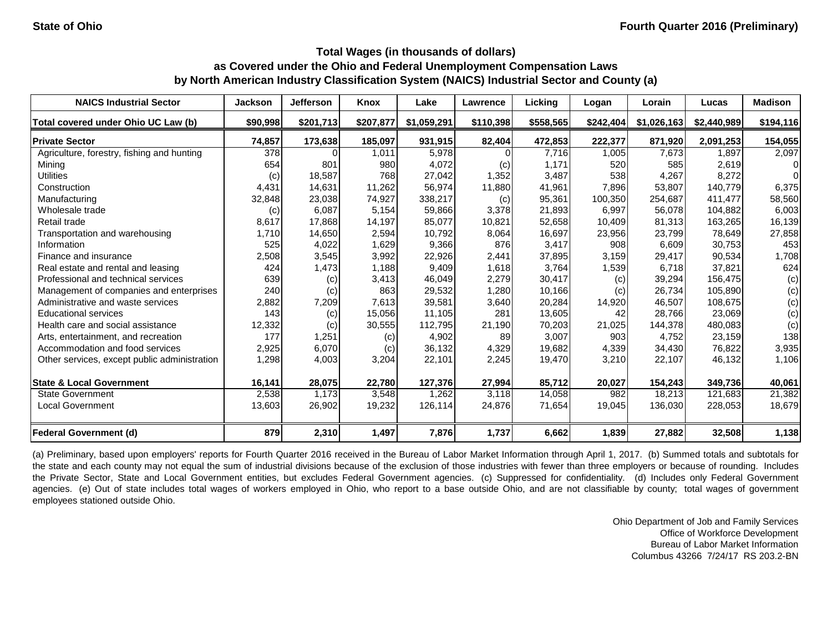| <b>NAICS Industrial Sector</b>               | <b>Jackson</b> | <b>Jefferson</b> | Knox      | Lake        | Lawrence  | Licking   | Logan     | Lorain      | Lucas       | <b>Madison</b> |
|----------------------------------------------|----------------|------------------|-----------|-------------|-----------|-----------|-----------|-------------|-------------|----------------|
| Total covered under Ohio UC Law (b)          | \$90,998       | \$201,713        | \$207,877 | \$1,059,291 | \$110,398 | \$558,565 | \$242,404 | \$1,026,163 | \$2,440,989 | \$194,116      |
| <b>Private Sector</b>                        | 74,857         | 173,638          | 185,097   | 931,915     | 82,404    | 472,853   | 222,377   | 871,920     | 2,091,253   | 154,055        |
| Agriculture, forestry, fishing and hunting   | 378            |                  | 1,011     | 5,978       |           | 7,716     | 1,005     | 7,673       | 1,897       | 2,097          |
| Mining                                       | 654            | 801              | 980       | 4,072       | (c)       | 1,171     | 520       | 585         | 2,619       | $\Omega$       |
| <b>Utilities</b>                             | (c)            | 18,587           | 768       | 27,042      | 1,352     | 3,487     | 538       | 4,267       | 8,272       | $\Omega$       |
| Construction                                 | 4,431          | 14,631           | 11,262    | 56,974      | 11,880    | 41,961    | 7,896     | 53,807      | 140,779     | 6,375          |
| Manufacturing                                | 32,848         | 23,038           | 74,927    | 338,217     | (c)       | 95,361    | 100,350   | 254,687     | 411,477     | 58,560         |
| Wholesale trade                              | (c)            | 6,087            | 5,154     | 59,866      | 3,378     | 21,893    | 6,997     | 56,078      | 104,882     | 6,003          |
| Retail trade                                 | 8,617          | 17,868           | 14,197    | 85,077      | 10,821    | 52,658    | 10,409    | 81,313      | 163,265     | 16,139         |
| Transportation and warehousing               | 1,710          | 14,650           | 2,594     | 10,792      | 8,064     | 16,697    | 23,956    | 23,799      | 78,649      | 27,858         |
| Information                                  | 525            | 4,022            | 1,629     | 9,366       | 876       | 3,417     | 908       | 6,609       | 30,753      | 453            |
| Finance and insurance                        | 2,508          | 3,545            | 3,992     | 22,926      | 2,441     | 37,895    | 3,159     | 29,417      | 90,534      | 1,708          |
| Real estate and rental and leasing           | 424            | 1,473            | 1,188     | 9,409       | 1,618     | 3,764     | 1,539     | 6,718       | 37,821      | 624            |
| Professional and technical services          | 639            | (c)              | 3,413     | 46,049      | 2,279     | 30,417    | (c)       | 39,294      | 156,475     | (c)            |
| Management of companies and enterprises      | 240            | (c)              | 863       | 29,532      | 1,280     | 10,166    | (c)       | 26,734      | 105,890     | (c)            |
| Administrative and waste services            | 2,882          | 7,209            | 7,613     | 39,581      | 3,640     | 20,284    | 14,920    | 46,507      | 108,675     | (c)            |
| <b>Educational services</b>                  | 143            | (c)              | 15,056    | 11,105      | 281       | 13,605    | 42        | 28,766      | 23,069      | (c)            |
| Health care and social assistance            | 12,332         | (c)              | 30,555    | 112,795     | 21,190    | 70,203    | 21,025    | 144,378     | 480,083     | (c)            |
| Arts, entertainment, and recreation          | 177            | 1,251            | (c)       | 4,902       | 89        | 3,007     | 903       | 4,752       | 23,159      | 138            |
| Accommodation and food services              | 2,925          | 6,070            | (c)       | 36,132      | 4,329     | 19,682    | 4,339     | 34,430      | 76,822      | 3,935          |
| Other services, except public administration | 1,298          | 4,003            | 3,204     | 22,101      | 2,245     | 19,470    | 3,210     | 22,107      | 46,132      | 1,106          |
| <b>State &amp; Local Government</b>          | 16,141         | 28,075           | 22,780    | 127,376     | 27,994    | 85,712    | 20,027    | 154,243     | 349,736     | 40,061         |
| <b>State Government</b>                      | 2,538          | 1,173            | 3,548     | 1,262       | 3,118     | 14,058    | 982       | 18,213      | 121,683     | 21,382         |
| Local Government                             | 13,603         | 26,902           | 19,232    | 126,114     | 24,876    | 71,654    | 19,045    | 136,030     | 228,053     | 18,679         |
| <b>Federal Government (d)</b>                | 879            | 2,310            | 1,497     | 7,876       | 1,737     | 6,662     | 1,839     | 27,882      | 32,508      | 1,138          |

(a) Preliminary, based upon employers' reports for Fourth Quarter 2016 received in the Bureau of Labor Market Information through April 1, 2017. (b) Summed totals and subtotals for the state and each county may not equal the sum of industrial divisions because of the exclusion of those industries with fewer than three employers or because of rounding. Includes the Private Sector, State and Local Government entities, but excludes Federal Government agencies. (c) Suppressed for confidentiality. (d) Includes only Federal Government agencies. (e) Out of state includes total wages of workers employed in Ohio, who report to a base outside Ohio, and are not classifiable by county; total wages of government employees stationed outside Ohio.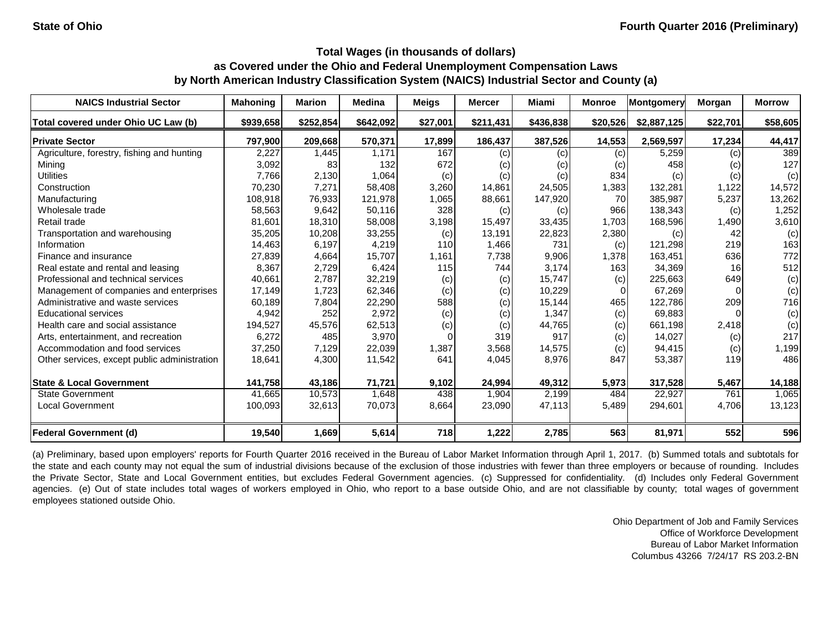| <b>NAICS Industrial Sector</b>               | <b>Mahoning</b> | <b>Marion</b> | <b>Medina</b> | <b>Meigs</b> | <b>Mercer</b> | Miami     | <b>Monroe</b> | Montgomery  | Morgan   | <b>Morrow</b> |
|----------------------------------------------|-----------------|---------------|---------------|--------------|---------------|-----------|---------------|-------------|----------|---------------|
| Total covered under Ohio UC Law (b)          | \$939,658       | \$252,854     | \$642,092     | \$27,001     | \$211,431     | \$436,838 | \$20,526      | \$2,887,125 | \$22,701 | \$58,605      |
| <b>Private Sector</b>                        | 797,900         | 209,668       | 570,371       | 17,899       | 186,437       | 387,526   | 14,553        | 2,569,597   | 17,234   | 44,417        |
| Agriculture, forestry, fishing and hunting   | 2,227           | 1,445         | 1,171         | 167          | (c)           | (c)       | (c)           | 5,259       | (c)      | 389           |
| Mining                                       | 3,092           | 83            | 132           | 672          | (c)           | (c)       | (c)           | 458         | (c)      | 127           |
| <b>Utilities</b>                             | 7,766           | 2,130         | 1,064         | (c)          | (c)           | (c)       | 834           | (c)         | (c)      | (c)           |
| Construction                                 | 70,230          | 7,271         | 58,408        | 3,260        | 14,861        | 24,505    | 1,383         | 132,281     | 1,122    | 14,572        |
| Manufacturing                                | 108,918         | 76,933        | 121,978       | 1,065        | 88,661        | 147,920   | 70            | 385,987     | 5,237    | 13,262        |
| Wholesale trade                              | 58,563          | 9,642         | 50,116        | 328          | (c)           | (c)       | 966           | 138,343     | (c)      | 1,252         |
| Retail trade                                 | 81,601          | 18,310        | 58,008        | 3,198        | 15,497        | 33,435    | 1,703         | 168,596     | 1,490    | 3,610         |
| Transportation and warehousing               | 35,205          | 10,208        | 33,255        | (c)          | 13,191        | 22,823    | 2,380         | (c)         | 42       | (c)           |
| Information                                  | 14,463          | 6,197         | 4,219         | 110          | 1,466         | 731       | (c)           | 121,298     | 219      | 163           |
| Finance and insurance                        | 27,839          | 4,664         | 15,707        | 1,161        | 7,738         | 9,906     | 1,378         | 163,451     | 636      | 772           |
| Real estate and rental and leasing           | 8,367           | 2,729         | 6,424         | 115          | 744           | 3,174     | 163           | 34,369      | 16       | 512           |
| Professional and technical services          | 40,661          | 2,787         | 32,219        | (c)          | (c)           | 15,747    | (c)           | 225,663     | 649      | (c)           |
| Management of companies and enterprises      | 17,149          | 1,723         | 62,346        | (c)          | (c)           | 10,229    | $\Omega$      | 67,269      |          | (c)           |
| Administrative and waste services            | 60,189          | 7,804         | 22,290        | 588          | (c)           | 15,144    | 465           | 122,786     | 209      | 716           |
| <b>Educational services</b>                  | 4,942           | 252           | 2,972         | (c)          | (c)           | 1,347     | (c)           | 69,883      |          | (c)           |
| Health care and social assistance            | 194,527         | 45,576        | 62,513        | (c)          | (c)           | 44,765    | (c)           | 661,198     | 2,418    | (c)           |
| Arts, entertainment, and recreation          | 6,272           | 485           | 3,970         |              | 319           | 917       | (c)           | 14,027      | (c)      | 217           |
| Accommodation and food services              | 37,250          | 7,129         | 22,039        | 1,387        | 3,568         | 14,575    | (c)           | 94,415      | (c)      | 1,199         |
| Other services, except public administration | 18,641          | 4,300         | 11,542        | 641          | 4,045         | 8,976     | 847           | 53,387      | 119      | 486           |
| <b>State &amp; Local Government</b>          | 141,758         | 43,186        | 71,721        | 9,102        | 24,994        | 49,312    | 5,973         | 317,528     | 5,467    | 14,188        |
| <b>State Government</b>                      | 41,665          | 10,573        | 1,648         | 438          | 1,904         | 2,199     | 484           | 22,927      | 761      | 1,065         |
| <b>Local Government</b>                      | 100,093         | 32,613        | 70,073        | 8,664        | 23,090        | 47,113    | 5,489         | 294,601     | 4,706    | 13,123        |
| <b>Federal Government (d)</b>                | 19,540          | 1,669         | 5,614         | 718          | 1,222         | 2,785     | 563           | 81,971      | 552      | 596           |

(a) Preliminary, based upon employers' reports for Fourth Quarter 2016 received in the Bureau of Labor Market Information through April 1, 2017. (b) Summed totals and subtotals for the state and each county may not equal the sum of industrial divisions because of the exclusion of those industries with fewer than three employers or because of rounding. Includes the Private Sector, State and Local Government entities, but excludes Federal Government agencies. (c) Suppressed for confidentiality. (d) Includes only Federal Government agencies. (e) Out of state includes total wages of workers employed in Ohio, who report to a base outside Ohio, and are not classifiable by county; total wages of government employees stationed outside Ohio.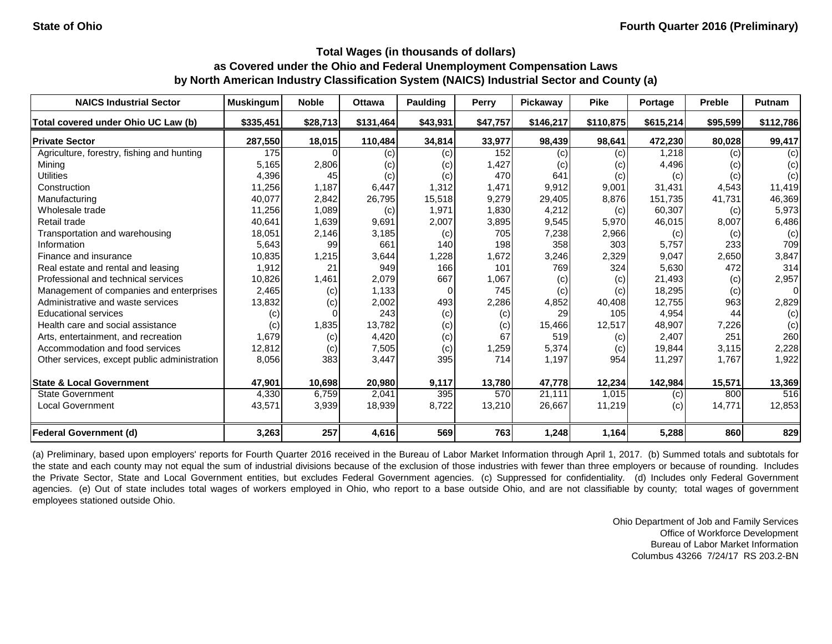| <b>NAICS Industrial Sector</b>               | <b>Muskingum</b> | <b>Noble</b> | <b>Ottawa</b> | <b>Paulding</b> | Perry    | Pickaway            | <b>Pike</b> | Portage    | <b>Preble</b> | Putnam         |
|----------------------------------------------|------------------|--------------|---------------|-----------------|----------|---------------------|-------------|------------|---------------|----------------|
| Total covered under Ohio UC Law (b)          | \$335,451        | \$28,713     | \$131,464     | \$43,931        | \$47,757 | \$146,217           | \$110,875   | \$615,214] | \$95,599      | \$112,786      |
| <b>Private Sector</b>                        | 287,550          | 18,015       | 110,484       | 34,814          | 33,977   | 98,439              | 98,641      | 472,230    | 80,028        | 99,417         |
| Agriculture, forestry, fishing and hunting   | 175              |              | (c)           | (c)             | 152      | (c)                 | (c)         | 1,218      | (c)           | (c)            |
| Mining                                       | 5,165            | 2,806        | (c)           | (c)             | 1,427    | $\left( c\right)$   | (c)         | 4,496      | (c)           | (c)            |
| <b>Utilities</b>                             | 4,396            | 45           | (c)           | (c)             | 470      | 641                 | (c)         | (c)        | (c)           | (c)            |
| Construction                                 | 11,256           | 1,187        | 6,447         | 1,312           | 1,471    | 9,912               | 9,001       | 31,431     | 4,543         | 11,419         |
| Manufacturing                                | 40,077           | 2,842        | 26,795        | 15,518          | 9,279    | 29,405              | 8,876       | 151,735    | 41,731        | 46,369         |
| Wholesale trade                              | 11,256           | 1,089        | (c)           | 1,971           | 1,830    | 4,212               | (c)         | 60,307     | (c)           | 5,973          |
| Retail trade                                 | 40,641           | 1,639        | 9,691         | 2,007           | 3,895    | 9,545               | 5,970       | 46,015     | 8,007         | 6,486          |
| Transportation and warehousing               | 18,051           | 2,146        | 3,185         | (c)             | 705      | 7,238               | 2,966       | (c)        | (c)           | (c)            |
| Information                                  | 5,643            | 99           | 661           | 140             | 198      | 358                 | 303         | 5,757      | 233           | 709            |
| Finance and insurance                        | 10,835           | 1,215        | 3,644         | 1,228           | 1,672    | 3,246               | 2,329       | 9,047      | 2,650         | 3,847          |
| Real estate and rental and leasing           | 1,912            | 21           | 949           | 166             | 101      | 769                 | 324         | 5,630      | 472           | 314            |
| Professional and technical services          | 10,826           | 1,461        | 2,079         | 667             | 1,067    | (c)                 | (c)         | 21,493     | (c)           | 2,957          |
| Management of companies and enterprises      | 2,465            | (c)          | 1,133         |                 | 745      | (c)                 | (c)         | 18,295     | (c)           | $\overline{0}$ |
| Administrative and waste services            | 13,832           | (c)          | 2,002         | 493             | 2,286    | 4,852               | 40,408      | 12,755     | 963           | 2,829          |
| <b>Educational services</b>                  | (c)              |              | 243           | (c)             | (c)      | 29                  | 105         | 4,954      | 44            | (c)            |
| Health care and social assistance            | (c)              | 1,835        | 13,782        | (c)             | (c)      | 15,466              | 12,517      | 48,907     | 7,226         | (c)            |
| Arts, entertainment, and recreation          | 1,679            | (c)          | 4,420         | (c)             | 67       | 519                 | (c)         | 2,407      | 251           | 260            |
| Accommodation and food services              | 12,812           | (c)          | 7,505         | (c)             | 1,259    | 5,374               | (c)         | 19,844     | 3,115         | 2,228          |
| Other services, except public administration | 8,056            | 383          | 3,447         | 395             | 714      | 1,197               | 954         | 11,297     | 1,767         | 1,922          |
| <b>State &amp; Local Government</b>          | 47,901           | 10,698       | 20,980        | 9,117           | 13,780   | 47,778              | 12,234      | 142,984    | 15,571        | 13,369         |
| <b>State Government</b>                      | 4,330            | 6,759        | 2,041         | 395             | 570      | $\overline{2}1,111$ | 1,015       | (c)        | 800           | 516            |
| <b>Local Government</b>                      | 43,571           | 3,939        | 18,939        | 8,722           | 13,210   | 26,667              | 11,219      | (c)        | 14,771        | 12,853         |
| <b>Federal Government (d)</b>                | 3,263            | 257          | 4,616         | 569             | 763      | 1,248               | 1,164       | 5,288      | 860           | 829            |

(a) Preliminary, based upon employers' reports for Fourth Quarter 2016 received in the Bureau of Labor Market Information through April 1, 2017. (b) Summed totals and subtotals for the state and each county may not equal the sum of industrial divisions because of the exclusion of those industries with fewer than three employers or because of rounding. Includes the Private Sector, State and Local Government entities, but excludes Federal Government agencies. (c) Suppressed for confidentiality. (d) Includes only Federal Government agencies. (e) Out of state includes total wages of workers employed in Ohio, who report to a base outside Ohio, and are not classifiable by county; total wages of government employees stationed outside Ohio.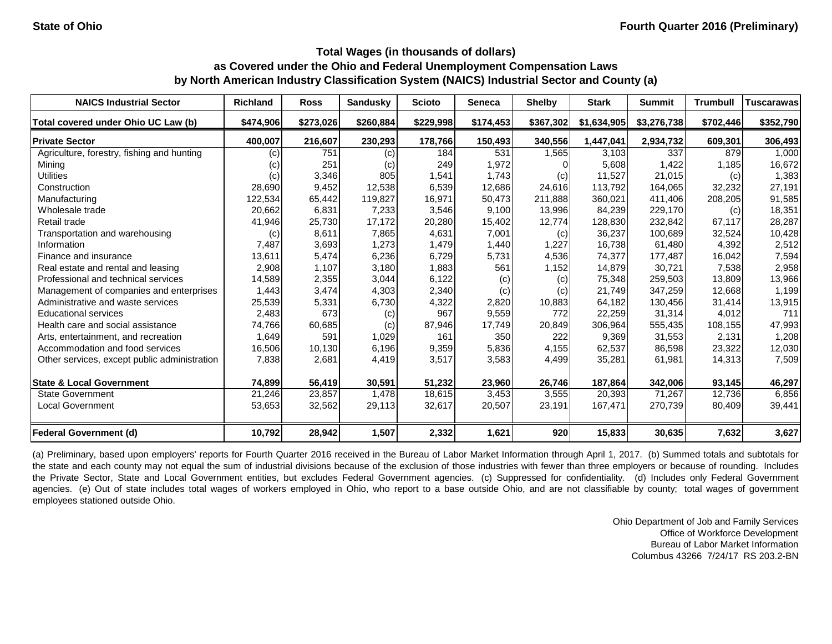| <b>NAICS Industrial Sector</b>               | <b>Richland</b> | <b>Ross</b> | <b>Sandusky</b> | <b>Scioto</b> | <b>Seneca</b> | <b>Shelby</b> | <b>Stark</b> | <b>Summit</b> | <b>Trumbull</b> | <b>Tuscarawas</b> |
|----------------------------------------------|-----------------|-------------|-----------------|---------------|---------------|---------------|--------------|---------------|-----------------|-------------------|
| Total covered under Ohio UC Law (b)          | \$474,906       | \$273,026   | \$260,884       | \$229,998     | \$174,453     | \$367,302     | \$1,634,905  | \$3,276,738   | \$702,446       | \$352,790         |
| <b>Private Sector</b>                        | 400,007         | 216,607     | 230,293         | 178,766       | 150,493       | 340,556       | 1,447,041    | 2,934,732     | 609,301         | 306,493           |
| Agriculture, forestry, fishing and hunting   | (c)             | 751         | (c)             | 184           | 531           | 1,565         | 3,103        | 337           | 879             | 1,000             |
| Mining                                       | (c)             | 251         | (c)             | 249           | 1,972         |               | 5,608        | 1,422         | 1,185           | 16,672            |
| <b>Utilities</b>                             | (c)             | 3,346       | 805             | 1,541         | 1,743         | (c)           | 11,527       | 21,015        | (c)             | 1,383             |
| Construction                                 | 28,690          | 9,452       | 12,538          | 6,539         | 12,686        | 24,616        | 113,792      | 164,065       | 32,232          | 27,191            |
| Manufacturing                                | 122,534         | 65,442      | 119,827         | 16,971        | 50,473        | 211,888       | 360,021      | 411,406       | 208,205         | 91,585            |
| Wholesale trade                              | 20,662          | 6,831       | 7,233           | 3,546         | 9,100         | 13,996        | 84,239       | 229,170       | (c)             | 18,351            |
| Retail trade                                 | 41,946          | 25,730      | 17,172          | 20,280        | 15,402        | 12,774        | 128,830      | 232,842       | 67,117          | 28,287            |
| Transportation and warehousing               | (c)             | 8,611       | 7,865           | 4,631         | 7,001         | (c)           | 36,237       | 100,689       | 32,524          | 10,428            |
| Information                                  | 7,487           | 3,693       | 1,273           | 1,479         | 1,440         | 1,227         | 16,738       | 61,480        | 4,392           | 2,512             |
| Finance and insurance                        | 13,611          | 5,474       | 6,236           | 6,729         | 5,731         | 4,536         | 74,377       | 177,487       | 16,042          | 7,594             |
| Real estate and rental and leasing           | 2,908           | 1,107       | 3,180           | 1,883         | 561           | 1,152         | 14,879       | 30,721        | 7,538           | 2,958             |
| Professional and technical services          | 14,589          | 2,355       | 3,044           | 6,122         | (c)           | (c)           | 75,348       | 259,503       | 13,809          | 13,966            |
| Management of companies and enterprises      | 1,443           | 3,474       | 4,303           | 2,340         | (c)           | (c)           | 21,749       | 347,259       | 12,668          | 1,199             |
| Administrative and waste services            | 25,539          | 5,331       | 6,730           | 4,322         | 2,820         | 10,883        | 64,182       | 130,456       | 31,414          | 13,915            |
| <b>Educational services</b>                  | 2,483           | 673         | (c)             | 967           | 9,559         | 772           | 22,259       | 31,314        | 4,012           | 711               |
| Health care and social assistance            | 74,766          | 60,685      | (c)             | 87,946        | 17,749        | 20,849        | 306,964      | 555,435       | 108,155         | 47,993            |
| Arts, entertainment, and recreation          | 1,649           | 591         | 1,029           | 161           | 350           | 222           | 9,369        | 31,553        | 2,131           | 1,208             |
| Accommodation and food services              | 16,506          | 10,130      | 6,196           | 9,359         | 5,836         | 4,155         | 62,537       | 86,598        | 23,322          | 12,030            |
| Other services, except public administration | 7,838           | 2,681       | 4,419           | 3,517         | 3,583         | 4,499         | 35,281       | 61,981        | 14,313          | 7,509             |
| <b>State &amp; Local Government</b>          | 74,899          | 56,419      | 30,591          | 51,232        | 23,960        | 26,746        | 187,864      | 342,006       | 93,145          | 46,297            |
| <b>State Government</b>                      | 21,246          | 23,857      | 1,478           | 18,615        | 3,453         | 3,555         | 20,393       | 71,267        | 12,736          | 6,856             |
| <b>Local Government</b>                      | 53,653          | 32,562      | 29,113          | 32,617        | 20,507        | 23,191        | 167,471      | 270,739       | 80,409          | 39,441            |
| <b>Federal Government (d)</b>                | 10,792          | 28,942      | 1,507           | 2,332         | 1,621         | 920           | 15,833       | 30,635        | 7,632           | 3,627             |

(a) Preliminary, based upon employers' reports for Fourth Quarter 2016 received in the Bureau of Labor Market Information through April 1, 2017. (b) Summed totals and subtotals for the state and each county may not equal the sum of industrial divisions because of the exclusion of those industries with fewer than three employers or because of rounding. Includes the Private Sector, State and Local Government entities, but excludes Federal Government agencies. (c) Suppressed for confidentiality. (d) Includes only Federal Government agencies. (e) Out of state includes total wages of workers employed in Ohio, who report to a base outside Ohio, and are not classifiable by county; total wages of government employees stationed outside Ohio.